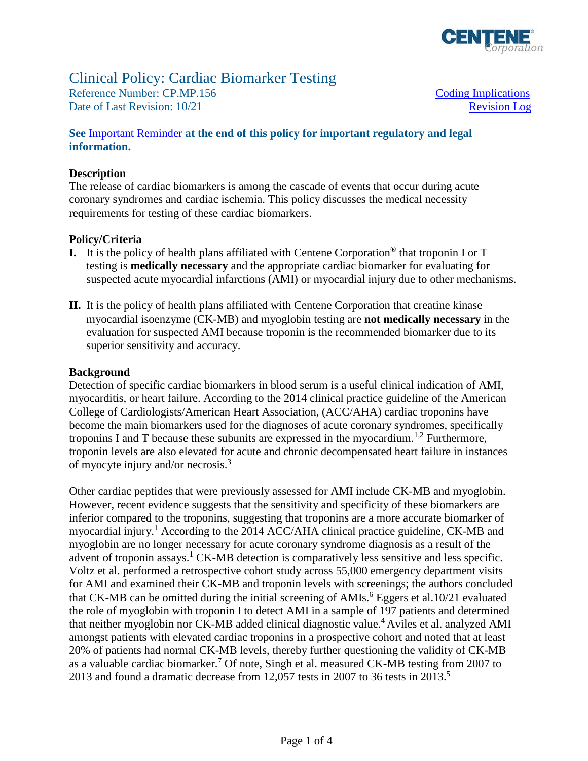

# Clinical Policy: Cardiac Biomarker Testing<br>Reference Number: CP.MP.156 Coding Implications<br>Date of Last Revision: 10/21 Revision

Reference Number: CP.MP.156 Date of Last Revision: 10/21 Revision Log

#### **See** [Important Reminder](#page-2-0) **at the end of this policy for important regulatory and legal information.**

#### **Description**

The release of cardiac biomarkers is among the cascade of events that occur during acute coronary syndromes and cardiac ischemia. This policy discusses the medical necessity requirements for testing of these cardiac biomarkers.

#### **Policy/Criteria**

- **I.** It is the policy of health plans affiliated with Centene Corporation® that troponin I or T testing is **medically necessary** and the appropriate cardiac biomarker for evaluating for suspected acute myocardial infarctions (AMI) or myocardial injury due to other mechanisms.
- **II.** It is the policy of health plans affiliated with Centene Corporation that creatine kinase myocardial isoenzyme (CK-MB) and myoglobin testing are **not medically necessary** in the evaluation for suspected AMI because troponin is the recommended biomarker due to its superior sensitivity and accuracy.

#### **Background**

Detection of specific cardiac biomarkers in blood serum is a useful clinical indication of AMI, myocarditis, or heart failure. According to the 2014 clinical practice guideline of the American College of Cardiologists/American Heart Association, (ACC/AHA) cardiac troponins have become the main biomarkers used for the diagnoses of acute coronary syndromes, specifically troponins I and T because these subunits are expressed in the myocardium.<sup>1,2</sup> Furthermore, troponin levels are also elevated for acute and chronic decompensated heart failure in instances of myocyte injury and/or necrosis.<sup>3</sup>

Other cardiac peptides that were previously assessed for AMI include CK-MB and myoglobin. However, recent evidence suggests that the sensitivity and specificity of these biomarkers are inferior compared to the troponins, suggesting that troponins are a more accurate biomarker of myocardial injury.1 According to the 2014 ACC/AHA clinical practice guideline, CK-MB and myoglobin are no longer necessary for acute coronary syndrome diagnosis as a result of the advent of troponin assays.<sup>1</sup> CK-MB detection is comparatively less sensitive and less specific. Voltz et al. performed a retrospective cohort study across 55,000 emergency department visits for AMI and examined their CK-MB and troponin levels with screenings; the authors concluded that CK-MB can be omitted during the initial screening of  $AMIs.<sup>6</sup>$  Eggers et al.10/21 evaluated the role of myoglobin with troponin I to detect AMI in a sample of 197 patients and determined that neither myoglobin nor CK-MB added clinical diagnostic value.<sup>4</sup> Aviles et al. analyzed AMI amongst patients with elevated cardiac troponins in a prospective cohort and noted that at least 20% of patients had normal CK-MB levels, thereby further questioning the validity of CK-MB as a valuable cardiac biomarker.<sup>7</sup> Of note, Singh et al. measured CK-MB testing from 2007 to 2013 and found a dramatic decrease from 12,057 tests in 2007 to 36 tests in 2013.5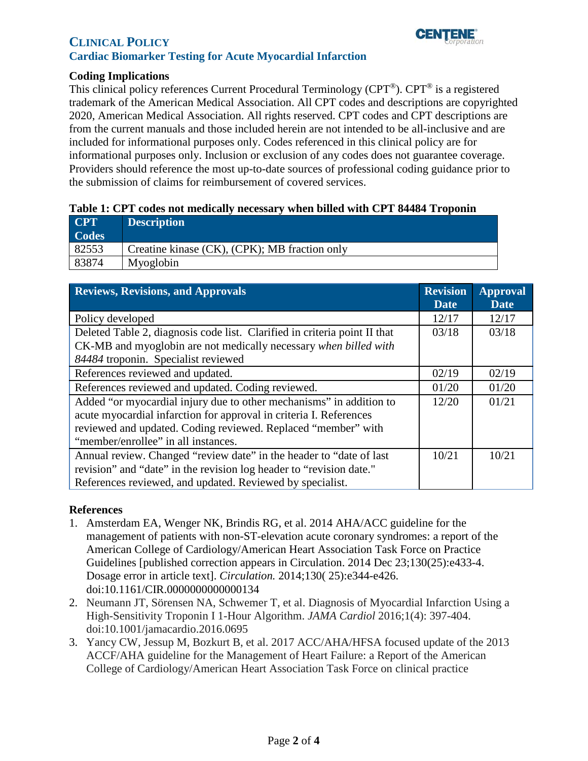

### **CLINICAL POLICY Cardiac Biomarker Testing for Acute Myocardial Infarction**

#### <span id="page-1-0"></span>**Coding Implications**

This clinical policy references Current Procedural Terminology (CPT®). CPT® is a registered trademark of the American Medical Association. All CPT codes and descriptions are copyrighted 2020, American Medical Association. All rights reserved. CPT codes and CPT descriptions are from the current manuals and those included herein are not intended to be all-inclusive and are included for informational purposes only. Codes referenced in this clinical policy are for informational purposes only. Inclusion or exclusion of any codes does not guarantee coverage. Providers should reference the most up-to-date sources of professional coding guidance prior to the submission of claims for reimbursement of covered services.

#### **Table 1: CPT codes not medically necessary when billed with CPT 84484 Troponin**

| <b>CPT</b>   | <b>Description</b>                            |
|--------------|-----------------------------------------------|
| <b>Codes</b> |                                               |
| 82553        | Creatine kinase (CK), (CPK); MB fraction only |
| 83874        | Myoglobin                                     |

<span id="page-1-1"></span>

| <b>Reviews, Revisions, and Approvals</b>                                  | <b>Revision</b><br><b>Date</b> | <b>Approval</b><br><b>Date</b> |
|---------------------------------------------------------------------------|--------------------------------|--------------------------------|
| Policy developed                                                          |                                | 12/17                          |
| Deleted Table 2, diagnosis code list. Clarified in criteria point II that |                                | 03/18                          |
| CK-MB and myoglobin are not medically necessary when billed with          |                                |                                |
| 84484 troponin. Specialist reviewed                                       |                                |                                |
| References reviewed and updated.                                          |                                | 02/19                          |
| References reviewed and updated. Coding reviewed.                         |                                | 01/20                          |
| Added "or myocardial injury due to other mechanisms" in addition to       | 12/20                          | 01/21                          |
| acute myocardial infarction for approval in criteria I. References        |                                |                                |
| reviewed and updated. Coding reviewed. Replaced "member" with             |                                |                                |
| "member/enrollee" in all instances.                                       |                                |                                |
| Annual review. Changed "review date" in the header to "date of last       |                                | 10/21                          |
| revision" and "date" in the revision log header to "revision date."       |                                |                                |
| References reviewed, and updated. Reviewed by specialist.                 |                                |                                |

#### **References**

- 1. Amsterdam EA, Wenger NK, Brindis RG, et al. 2014 AHA/ACC guideline for the management of patients with non-ST-elevation acute coronary syndromes: a report of the American College of Cardiology/American Heart Association Task Force on Practice Guidelines [published correction appears in Circulation. 2014 Dec 23;130(25):e433-4. Dosage error in article text]. *Circulation.* 2014;130( 25):e344-e426. doi:10.1161/CIR.0000000000000134
- 2. Neumann JT, Sörensen NA, Schwemer T, et al. Diagnosis of Myocardial Infarction Using a High-Sensitivity Troponin I 1-Hour Algorithm. *JAMA Cardiol* 2016;1(4): 397-404. doi:10.1001/jamacardio.2016.0695
- 3. Yancy CW, Jessup M, Bozkurt B, et al. 2017 ACC/AHA/HFSA focused update of the 2013 ACCF/AHA guideline for the Management of Heart Failure: a Report of the American College of Cardiology/American Heart Association Task Force on clinical practice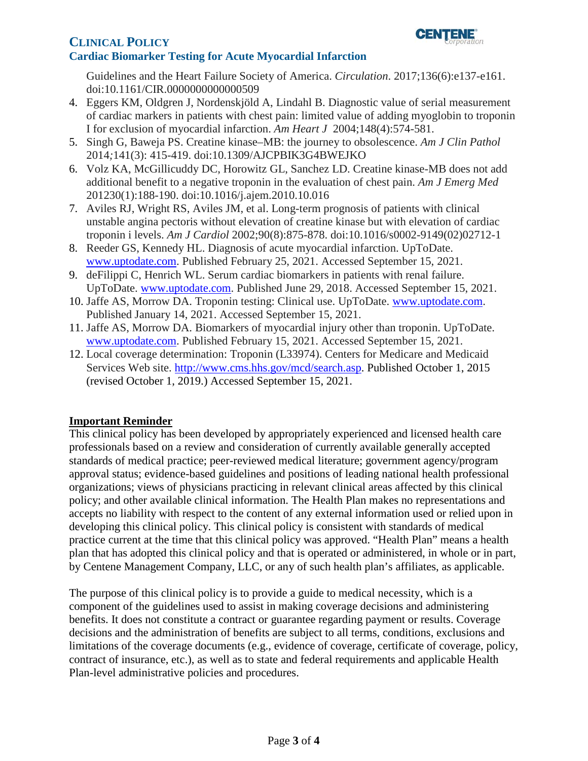# **CLINICAL POLICY** *l***<sub>corporation</sub>**



# **Cardiac Biomarker Testing for Acute Myocardial Infarction**

Guidelines and the Heart Failure Society of America. *Circulation*. 2017;136(6):e137-e161. doi:10.1161/CIR.0000000000000509

- 4. Eggers KM, Oldgren J, Nordenskjöld A, Lindahl B. Diagnostic value of serial measurement of cardiac markers in patients with chest pain: limited value of adding myoglobin to troponin I for exclusion of myocardial infarction. *Am Heart J* 2004;148(4):574-581.
- 5. Singh G, Baweja PS. Creatine kinase–MB: the journey to obsolescence. *Am J Clin Pathol*  2014*;*141(3): 415-419. doi:10.1309/AJCPBIK3G4BWEJKO
- 6. Volz KA, McGillicuddy DC, Horowitz GL, Sanchez LD. Creatine kinase-MB does not add additional benefit to a negative troponin in the evaluation of chest pain. *Am J Emerg Med*  201230(1):188-190. doi:10.1016/j.ajem.2010.10.016
- 7. Aviles RJ, Wright RS, Aviles JM, et al. Long-term prognosis of patients with clinical unstable angina pectoris without elevation of creatine kinase but with elevation of cardiac troponin i levels. *Am J Cardiol* 2002;90(8):875-878. doi:10.1016/s0002-9149(02)02712-1
- 8. Reeder GS, Kennedy HL. Diagnosis of acute myocardial infarction. UpToDate. [www.uptodate.com.](http://www.uptodate.com/) Published February 25, 2021. Accessed September 15, 2021.
- 9. deFilippi C, Henrich WL. Serum cardiac biomarkers in patients with renal failure. UpToDate. [www.uptodate.com.](http://www.uptodate.com/) Published June 29, 2018. Accessed September 15, 2021.
- 10. Jaffe AS, Morrow DA. Troponin testing: Clinical use. UpToDate. [www.uptodate.com.](http://www.uptodate.com/) Published January 14, 2021. Accessed September 15, 2021.
- 11. Jaffe AS, Morrow DA. Biomarkers of myocardial injury other than troponin. UpToDate. [www.uptodate.com.](http://www.uptodate.com/) Published February 15, 2021. Accessed September 15, 2021.
- 12. Local coverage determination: Troponin (L33974). Centers for Medicare and Medicaid Services Web site. [http://www.cms.hhs.gov/mcd/search.asp.](http://www.cms.hhs.gov/mcd/search.asp) Published October 1, 2015 (revised October 1, 2019.) Accessed September 15, 2021.

## <span id="page-2-0"></span>**Important Reminder**

 This clinical policy has been developed by appropriately experienced and licensed health care professionals based on a review and consideration of currently available generally accepted standards of medical practice; peer-reviewed medical literature; government agency/program approval status; evidence-based guidelines and positions of leading national health professional organizations; views of physicians practicing in relevant clinical areas affected by this clinical policy; and other available clinical information. The Health Plan makes no representations and accepts no liability with respect to the content of any external information used or relied upon in developing this clinical policy. This clinical policy is consistent with standards of medical practice current at the time that this clinical policy was approved. "Health Plan" means a health plan that has adopted this clinical policy and that is operated or administered, in whole or in part, by Centene Management Company, LLC, or any of such health plan's affiliates, as applicable.

 The purpose of this clinical policy is to provide a guide to medical necessity, which is a component of the guidelines used to assist in making coverage decisions and administering benefits. It does not constitute a contract or guarantee regarding payment or results. Coverage decisions and the administration of benefits are subject to all terms, conditions, exclusions and limitations of the coverage documents (e.g., evidence of coverage, certificate of coverage, policy, contract of insurance, etc.), as well as to state and federal requirements and applicable Health Plan-level administrative policies and procedures.